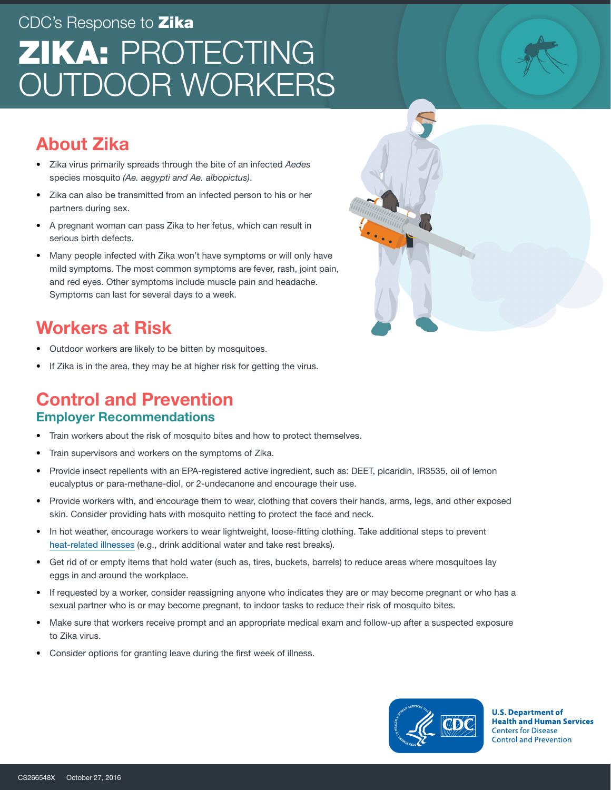# CDC's Response to **Zika** ZIKA: PROTECTING OUTDOOR WORKERS

## About Zika

- Zika virus primarily spreads through the bite of an infected *Aedes* species mosquito *(Ae. aegypti and Ae. albopictus)*.
- Zika can also be transmitted from an infected person to his or her partners during sex.
- A pregnant woman can pass Zika to her fetus, which can result in serious birth defects.
- Many people infected with Zika won't have symptoms or will only have mild symptoms. The most common symptoms are fever, rash, joint pain, and red eyes. Other symptoms include muscle pain and headache. Symptoms can last for several days to a week.

## Workers at Risk

- Outdoor workers are likely to be bitten by mosquitoes.
- If Zika is in the area, they may be at higher risk for getting the virus.

## Control and Prevention

#### Employer Recommendations

- Train workers about the risk of mosquito bites and how to protect themselves.
- Train supervisors and workers on the symptoms of Zika.
- Provide insect repellents with an EPA-registered active ingredient, such as: DEET, picaridin, IR3535, oil of lemon eucalyptus or para-methane-diol, or 2-undecanone and encourage their use.
- Provide workers with, and encourage them to wear, clothing that covers their hands, arms, legs, and other exposed skin. Consider providing hats with mosquito netting to protect the face and neck.
- In hot weather, encourage workers to wear lightweight, loose-fitting clothing. Take additional steps to prevent [heat-related illnesses](http://www.cdc.gov/niosh/topics/heatstress/) (e.g., drink additional water and take rest breaks).
- Get rid of or empty items that hold water (such as, tires, buckets, barrels) to reduce areas where mosquitoes lay eggs in and around the workplace.
- If requested by a worker, consider reassigning anyone who indicates they are or may become pregnant or who has a sexual partner who is or may become pregnant, to indoor tasks to reduce their risk of mosquito bites.
- Make sure that workers receive prompt and an appropriate medical exam and follow-up after a suspected exposure to Zika virus.
- Consider options for granting leave during the first week of illness.



**U.S. Department of Health and Human Services Centers for Disease Control and Prevention**